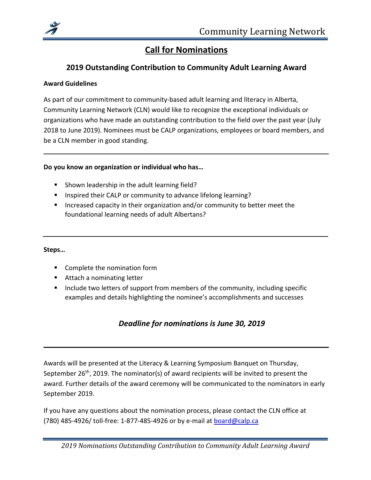

# **Call for Nominations**

## **2019 Outstanding Contribution to Community Adult Learning Award**

#### **Award Guidelines**

As part of our commitment to community-based adult learning and literacy in Alberta, Community Learning Network (CLN) would like to recognize the exceptional individuals or organizations who have made an outstanding contribution to the field over the past year (July 2018 to June 2019). Nominees must be CALP organizations, employees or board members, and be a CLN member in good standing.

#### **Do you know an organization or individual who has…**

- **Shown leadership in the adult learning field?**
- Inspired their CALP or community to advance lifelong learning?
- **Increased capacity in their organization and/or community to better meet the** foundational learning needs of adult Albertans?

#### **Steps…**

- **Complete the nomination form**
- Attach a nominating letter
- Include two letters of support from members of the community, including specific examples and details highlighting the nominee's accomplishments and successes

## *Deadline for nominations is June 30, 2019*

Awards will be presented at the Literacy & Learning Symposium Banquet on Thursday, September 26<sup>th</sup>, 2019. The nominator(s) of award recipients will be invited to present the award. Further details of the award ceremony will be communicated to the nominators in early September 2019.

If you have any questions about the nomination process, please contact the CLN office at (780) 485-4926/ toll-free: 1-877-485-4926 or by e-mail at [board@ca](mailto:board@c)lp.ca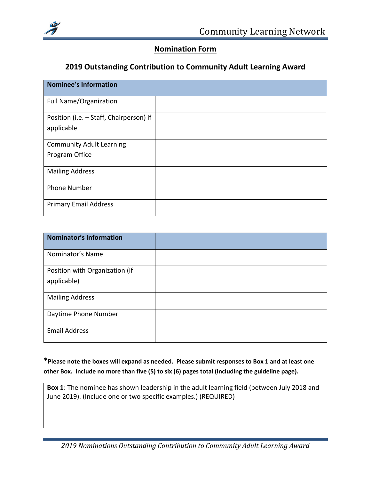

### **Nomination Form**

### **2019 Outstanding Contribution to Community Adult Learning Award**

| <b>Nominee's Information</b>            |  |
|-----------------------------------------|--|
| <b>Full Name/Organization</b>           |  |
| Position (i.e. - Staff, Chairperson) if |  |
| applicable                              |  |
| <b>Community Adult Learning</b>         |  |
| Program Office                          |  |
| <b>Mailing Address</b>                  |  |
| <b>Phone Number</b>                     |  |
| <b>Primary Email Address</b>            |  |

| <b>Nominator's Information</b> |  |
|--------------------------------|--|
| Nominator's Name               |  |
| Position with Organization (if |  |
| applicable)                    |  |
| <b>Mailing Address</b>         |  |
| Daytime Phone Number           |  |
| <b>Email Address</b>           |  |

## **\*Please note the boxes will expand as needed. Please submit responses to Box 1 and at least one other Box. Include no more than five (5) to six (6) pages total (including the guideline page).**

**Box 1**: The nominee has shown leadership in the adult learning field (between July 2018 and June 2019). (Include one or two specific examples.) (REQUIRED)